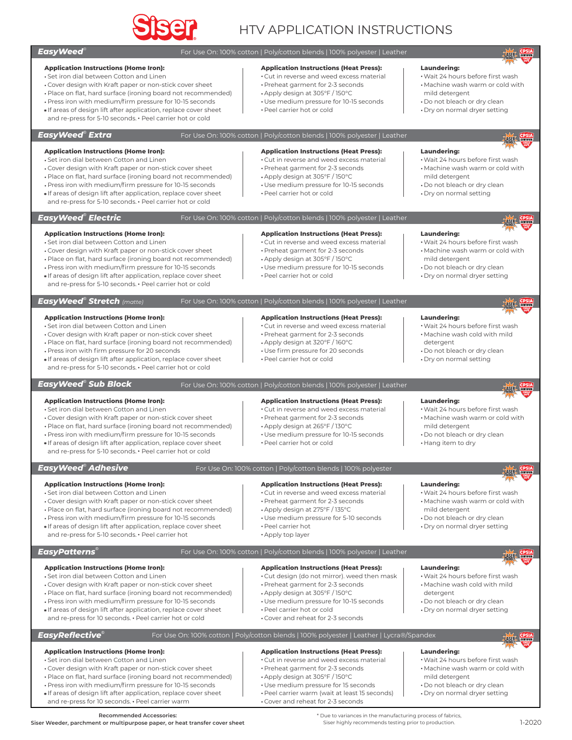

# HTV APPLICATION INSTRUCTIONS

#### ® *EasyWeed*

#### **Application Instructions (Home Iron):**

- Set iron dial between Cotton and Linen
- Cover design with Kraft paper or non-stick cover sheet
- Place on flat, hard surface (ironing board not recommended)
- Press iron with medium/firm pressure for 10-15 seconds If areas of design lift after application, replace cover sheet
- and re-press for 5-10 seconds. Peel carrier hot or cold

### *® EasyWeed Extra*

## **Application Instructions (Heat Press):**

- Cut in reverse and weed excess material
- Preheat garment for 2-3 seconds
- Apply design at 305°F / 150°C
- Use medium pressure for 10-15 seconds

For Use On: 100% cotton | Poly/cotton blends | 100% polyester | Leather

For Use On: 100% cotton | Poly/cotton blends | 100% polyester | Leather

Peel carrier hot or cold

#### **Laundering:**

 Wait 24 hours before first wash Machine wash warm or cold with

**ASTR** CPSIA

- mild detergent
- Do not bleach or dry clean
- Dry on normal dryer setting

**Application Instructions (Home Iron): Application Instructions (Heat Press): Laundering:** Set iron dial between Cotton and Linen Cut in reverse and weed excess material Wait 24 hours before first wash Cover design with Kraft paper or non-stick cover sheet Preheat garment for 2-3 seconds Machine wash warm or cold with Place on flat, hard surface (ironing board not recommended) Apply design at 305°F / 150°C mild detergent Press iron with medium/firm pressure for 10-15 seconds Use medium pressure for 10-15 seconds Do not bleach or dry clean If areas of design lift after application, replace cover sheet Peel carrier hot or cold Dry on normal setting and re-press for 5-10 seconds. • Peel carrier hot or cold For Use On: 100% cotton | Poly/cotton blends | 100% polyester | Leather *® EasyWeed Electric* **Application Instructions (Home Iron): Application Instructions (Heat Press): Laundering:** Set iron dial between Cotton and Linen Cut in reverse and weed excess material Wait 24 hours before first wash Cover design with Kraft paper or non-stick cover sheet Preheat garment for 2-3 seconds Machine wash warm or cold with Place on flat, hard surface (ironing board not recommended) Apply design at 305°F / 150°C mild detergent Press iron with medium/firm pressure for 10-15 seconds Use medium pressure for 10-15 seconds Do not bleach or dry clean If areas of design lift after application, replace cover sheet Peel carrier hot or cold Dry on normal dryer setting and re-press for 5-10 seconds. • Peel carrier hot or cold *® EasyWeed Stretch (matte)* For Use On: 100% cotton | Poly/cotton blends | 100% polyester | Leather LASEL GERTIEL **Application Instructions (Home Iron): Application Instructions (Heat Press): Laundering:** Set iron dial between Cotton and Linen Cut in reverse and weed excess material Wait 24 hours before first wash Machine wash cold with mild Cover design with Kraft paper or non-stick cover sheet Preheat garment for 2-3 seconds Apply design at 320°F / 160°C Place on flat, hard surface (ironing board not recommended) detergent Do not bleach or dry clean Press iron with firm pressure for 20 seconds Use firm pressure for 20 seconds  $*$ If areas of design lift after application, replace cover sheet Peel carrier hot or cold Dry on normal setting and re-press for 5-10 seconds. • Peel carrier hot or cold *® EasyWeed Sub Block* For Use On: 100% cotton | Poly/cotton blends | 100% polyester | Leather LASER CPSIA **Application Instructions (Home Iron): Laundering: Application Instructions (Heat Press):** Set iron dial between Cotton and Linen Cut in reverse and weed excess material Wait 24 hours before first wash Cover design with Kraft paper or non-stick cover sheet Preheat garment for 2-3 seconds Machine wash warm or cold with Place on flat, hard surface (ironing board not recommended) Apply design at 265°F / 130°C mild detergent Press iron with medium/firm pressure for 10-15 seconds Use medium pressure for 10-15 seconds Do not bleach or dry clean If areas of design lift after application, replace cover sheet Peel carrier hot or cold Hang item to dry and re-press for 5-10 seconds. • Peel carrier hot or cold *® EasyWeed Adhesive* For Use On: 100% cotton | Poly/cotton blends | 100% polyester LASER CHAIRE **Application Instructions (Home Iron): Application Instructions (Heat Press): Laundering:** Wait 24 hours before first wash Set iron dial between Cotton and Linen Cut in reverse and weed excess material Cover design with Kraft paper or non-stick cover sheet Preheat garment for 2-3 seconds Machine wash warm or cold with Place on flat, hard surface (ironing board not recommended) Apply design at 275°F / 135°C mild detergent Press iron with medium/firm pressure for 10-15 seconds Use medium pressure for 5-10 seconds Do not bleach or dry clean If areas of design lift after application, replace cover sheet Peel carrier hot Dry on normal dryer setting and re-press for 5-10 seconds. • Peel carrier hot Apply top layer *® EasyPatterns* For Use On: 100% cotton | Poly/cotton blends | 100% polyester | Leather **Application Instructions (Home Iron): Application Instructions (Heat Press): Laundering:** Set iron dial between Cotton and Linen Cut design (do not mirror). weed then mask Wait 24 hours before first wash Cover design with Kraft paper or non-stick cover sheet Preheat garment for 2-3 seconds Machine wash cold with mild Place on flat, hard surface (ironing board not recommended) Apply design at 305°F / 150°C detergent Press iron with medium/firm pressure for 10-15 seconds Use medium pressure for 10-15 seconds Do not bleach or dry clean Dry on normal dryer setting If areas of design lift after application, replace cover sheet Peel carrier hot or cold and re-press for 10 seconds. • Peel carrier hot or cold Cover and reheat for 2-3 seconds *® EasyReflective*For Use On: 100% cotton | Poly/cotton blends | 100% polyester | Leather | Lycra®/Spandex LASER **Application Instructions (Home Iron): Application Instructions (Heat Press): Laundering:** Set iron dial between Cotton and Linen Cut in reverse and weed excess material Wait 24 hours before first wash Cover design with Kraft paper or non-stick cover sheet Preheat garment for 2-3 seconds Machine wash warm or cold with Apply design at 305°F / 150°C Place on flat, hard surface (ironing board not recommended) mild detergent Press iron with medium/firm pressure for 10-15 seconds Use medium pressure for 15 seconds Do not bleach or dry clean If areas of design lift after application, replace cover sheet Peel carrier warm (wait at least 15 seconds) Dry on normal dryer setting and re-press for 10 seconds. • Peel carrier warm Cover and reheat for 2-3 seconds

#### **Recommended Accessories:**